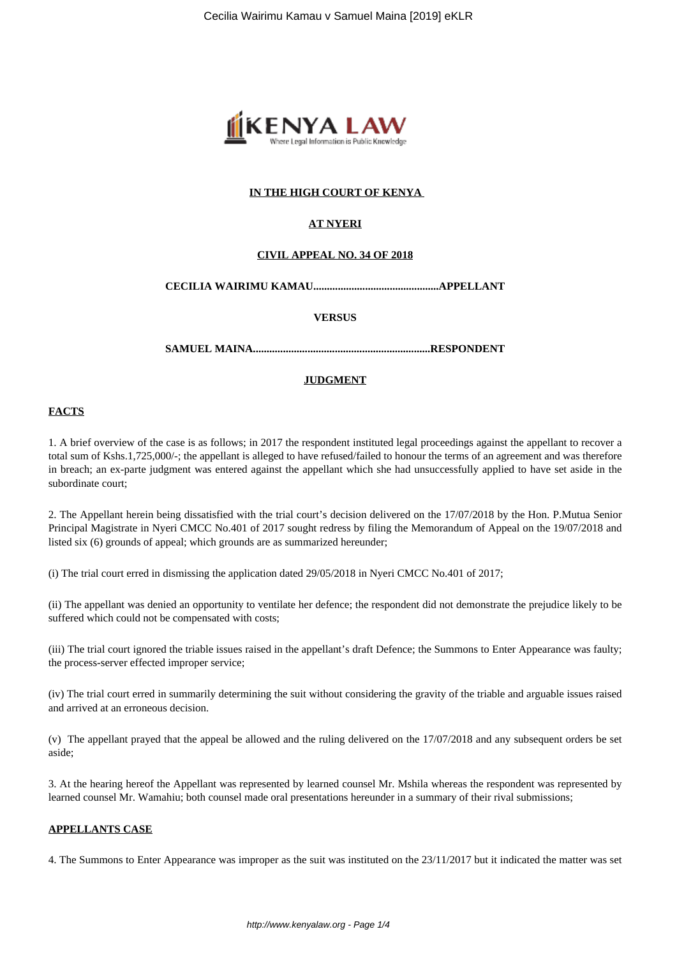

## **IN THE HIGH COURT OF KENYA**

## **AT NYERI**

## **CIVIL APPEAL NO. 34 OF 2018**

#### **CECILIA WAIRIMU KAMAU..............................................APPELLANT**

#### **VERSUS**

**SAMUEL MAINA.................................................................RESPONDENT**

## **JUDGMENT**

#### **FACTS**

1. A brief overview of the case is as follows; in 2017 the respondent instituted legal proceedings against the appellant to recover a total sum of Kshs.1,725,000/-; the appellant is alleged to have refused/failed to honour the terms of an agreement and was therefore in breach; an ex-parte judgment was entered against the appellant which she had unsuccessfully applied to have set aside in the subordinate court;

2. The Appellant herein being dissatisfied with the trial court's decision delivered on the 17/07/2018 by the Hon. P.Mutua Senior Principal Magistrate in Nyeri CMCC No.401 of 2017 sought redress by filing the Memorandum of Appeal on the 19/07/2018 and listed six (6) grounds of appeal; which grounds are as summarized hereunder;

(i) The trial court erred in dismissing the application dated 29/05/2018 in Nyeri CMCC No.401 of 2017;

(ii) The appellant was denied an opportunity to ventilate her defence; the respondent did not demonstrate the prejudice likely to be suffered which could not be compensated with costs;

(iii) The trial court ignored the triable issues raised in the appellant's draft Defence; the Summons to Enter Appearance was faulty; the process-server effected improper service;

(iv) The trial court erred in summarily determining the suit without considering the gravity of the triable and arguable issues raised and arrived at an erroneous decision.

(v) The appellant prayed that the appeal be allowed and the ruling delivered on the 17/07/2018 and any subsequent orders be set aside;

3. At the hearing hereof the Appellant was represented by learned counsel Mr. Mshila whereas the respondent was represented by learned counsel Mr. Wamahiu; both counsel made oral presentations hereunder in a summary of their rival submissions;

#### **APPELLANTS CASE**

4. The Summons to Enter Appearance was improper as the suit was instituted on the 23/11/2017 but it indicated the matter was set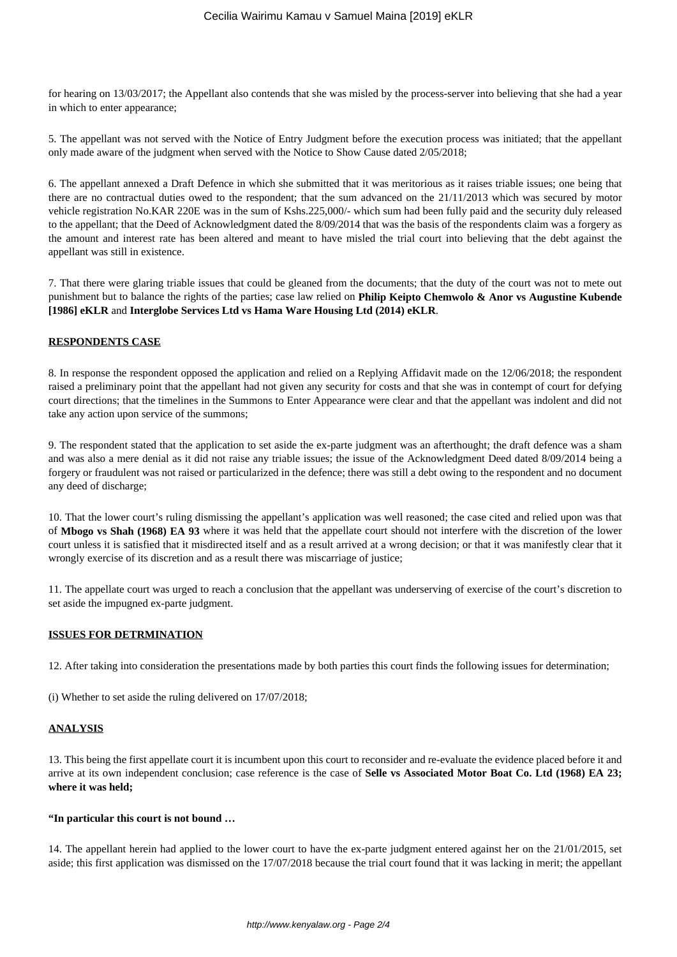for hearing on 13/03/2017; the Appellant also contends that she was misled by the process-server into believing that she had a year in which to enter appearance;

5. The appellant was not served with the Notice of Entry Judgment before the execution process was initiated; that the appellant only made aware of the judgment when served with the Notice to Show Cause dated 2/05/2018;

6. The appellant annexed a Draft Defence in which she submitted that it was meritorious as it raises triable issues; one being that there are no contractual duties owed to the respondent; that the sum advanced on the 21/11/2013 which was secured by motor vehicle registration No.KAR 220E was in the sum of Kshs.225,000/- which sum had been fully paid and the security duly released to the appellant; that the Deed of Acknowledgment dated the 8/09/2014 that was the basis of the respondents claim was a forgery as the amount and interest rate has been altered and meant to have misled the trial court into believing that the debt against the appellant was still in existence.

7. That there were glaring triable issues that could be gleaned from the documents; that the duty of the court was not to mete out punishment but to balance the rights of the parties; case law relied on **Philip Keipto Chemwolo & Anor vs Augustine Kubende [1986] eKLR** and **Interglobe Services Ltd vs Hama Ware Housing Ltd (2014) eKLR**.

#### **RESPONDENTS CASE**

8. In response the respondent opposed the application and relied on a Replying Affidavit made on the 12/06/2018; the respondent raised a preliminary point that the appellant had not given any security for costs and that she was in contempt of court for defying court directions; that the timelines in the Summons to Enter Appearance were clear and that the appellant was indolent and did not take any action upon service of the summons;

9. The respondent stated that the application to set aside the ex-parte judgment was an afterthought; the draft defence was a sham and was also a mere denial as it did not raise any triable issues; the issue of the Acknowledgment Deed dated 8/09/2014 being a forgery or fraudulent was not raised or particularized in the defence; there was still a debt owing to the respondent and no document any deed of discharge;

10. That the lower court's ruling dismissing the appellant's application was well reasoned; the case cited and relied upon was that of **Mbogo vs Shah (1968) EA 93** where it was held that the appellate court should not interfere with the discretion of the lower court unless it is satisfied that it misdirected itself and as a result arrived at a wrong decision; or that it was manifestly clear that it wrongly exercise of its discretion and as a result there was miscarriage of justice;

11. The appellate court was urged to reach a conclusion that the appellant was underserving of exercise of the court's discretion to set aside the impugned ex-parte judgment.

## **ISSUES FOR DETRMINATION**

12. After taking into consideration the presentations made by both parties this court finds the following issues for determination;

(i) Whether to set aside the ruling delivered on 17/07/2018;

## **ANALYSIS**

13. This being the first appellate court it is incumbent upon this court to reconsider and re-evaluate the evidence placed before it and arrive at its own independent conclusion; case reference is the case of **Selle vs Associated Motor Boat Co. Ltd (1968) EA 23; where it was held;**

#### **"In particular this court is not bound …**

14. The appellant herein had applied to the lower court to have the ex-parte judgment entered against her on the 21/01/2015, set aside; this first application was dismissed on the 17/07/2018 because the trial court found that it was lacking in merit; the appellant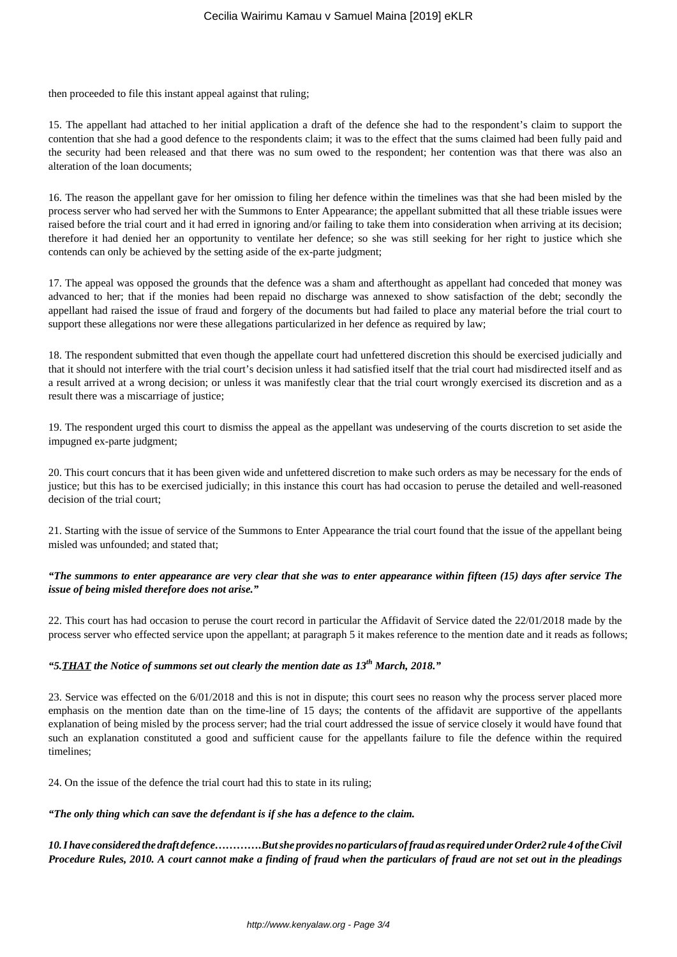then proceeded to file this instant appeal against that ruling;

15. The appellant had attached to her initial application a draft of the defence she had to the respondent's claim to support the contention that she had a good defence to the respondents claim; it was to the effect that the sums claimed had been fully paid and the security had been released and that there was no sum owed to the respondent; her contention was that there was also an alteration of the loan documents;

16. The reason the appellant gave for her omission to filing her defence within the timelines was that she had been misled by the process server who had served her with the Summons to Enter Appearance; the appellant submitted that all these triable issues were raised before the trial court and it had erred in ignoring and/or failing to take them into consideration when arriving at its decision; therefore it had denied her an opportunity to ventilate her defence; so she was still seeking for her right to justice which she contends can only be achieved by the setting aside of the ex-parte judgment;

17. The appeal was opposed the grounds that the defence was a sham and afterthought as appellant had conceded that money was advanced to her; that if the monies had been repaid no discharge was annexed to show satisfaction of the debt; secondly the appellant had raised the issue of fraud and forgery of the documents but had failed to place any material before the trial court to support these allegations nor were these allegations particularized in her defence as required by law;

18. The respondent submitted that even though the appellate court had unfettered discretion this should be exercised judicially and that it should not interfere with the trial court's decision unless it had satisfied itself that the trial court had misdirected itself and as a result arrived at a wrong decision; or unless it was manifestly clear that the trial court wrongly exercised its discretion and as a result there was a miscarriage of justice;

19. The respondent urged this court to dismiss the appeal as the appellant was undeserving of the courts discretion to set aside the impugned ex-parte judgment;

20. This court concurs that it has been given wide and unfettered discretion to make such orders as may be necessary for the ends of justice; but this has to be exercised judicially; in this instance this court has had occasion to peruse the detailed and well-reasoned decision of the trial court;

21. Starting with the issue of service of the Summons to Enter Appearance the trial court found that the issue of the appellant being misled was unfounded; and stated that;

## *"The summons to enter appearance are very clear that she was to enter appearance within fifteen (15) days after service The issue of being misled therefore does not arise."*

22. This court has had occasion to peruse the court record in particular the Affidavit of Service dated the 22/01/2018 made by the process server who effected service upon the appellant; at paragraph 5 it makes reference to the mention date and it reads as follows;

## *"5.THAT the Notice of summons set out clearly the mention date as 13th March, 2018."*

23. Service was effected on the 6/01/2018 and this is not in dispute; this court sees no reason why the process server placed more emphasis on the mention date than on the time-line of 15 days; the contents of the affidavit are supportive of the appellants explanation of being misled by the process server; had the trial court addressed the issue of service closely it would have found that such an explanation constituted a good and sufficient cause for the appellants failure to file the defence within the required timelines;

24. On the issue of the defence the trial court had this to state in its ruling;

*"The only thing which can save the defendant is if she has a defence to the claim.*

*10. I have considered the draft defence………….But she provides no particulars of fraud as required under Order2 rule 4 of the Civil Procedure Rules, 2010. A court cannot make a finding of fraud when the particulars of fraud are not set out in the pleadings*